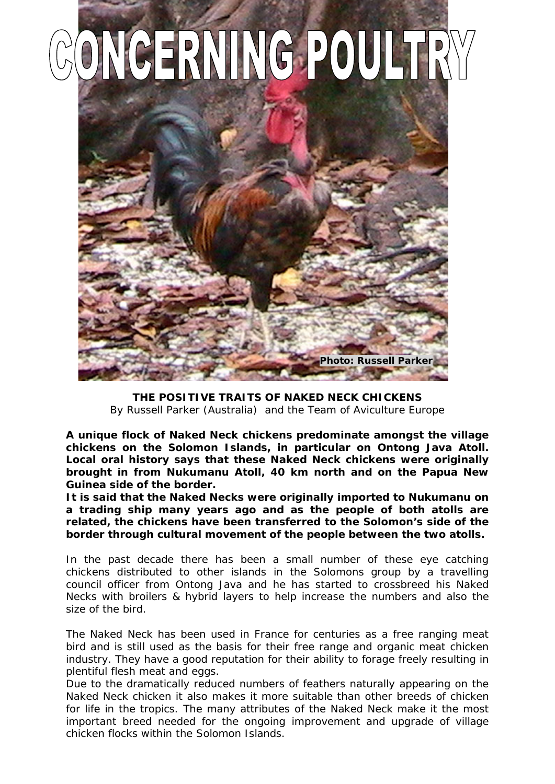

**THE POSITIVE TRAITS OF NAKED NECK CHICKENS** *By Russell Parker (Australia) and the Team of Aviculture Europe*

**A unique flock of Naked Neck chickens predominate amongst the village chickens on the Solomon Islands, in particular on Ontong Java Atoll. Local oral history says that these Naked Neck chickens were originally brought in from Nukumanu Atoll, 40 km north and on the Papua New Guinea side of the border.**

**It is said that the Naked Necks were originally imported to Nukumanu on a trading ship many years ago and as the people of both atolls are related, the chickens have been transferred to the Solomon's side of the border through cultural movement of the people between the two atolls.**

In the past decade there has been a small number of these eye catching chickens distributed to other islands in the Solomons group by a travelling council officer from Ontong Java and he has started to crossbreed his Naked Necks with broilers & hybrid layers to help increase the numbers and also the size of the bird.

The Naked Neck has been used in France for centuries as a free ranging meat bird and is still used as the basis for their free range and organic meat chicken industry. They have a good reputation for their ability to forage freely resulting in plentiful flesh meat and eggs.

Due to the dramatically reduced numbers of feathers naturally appearing on the Naked Neck chicken it also makes it more suitable than other breeds of chicken for life in the tropics. The many attributes of the Naked Neck make it the most important breed needed for the ongoing improvement and upgrade of village chicken flocks within the Solomon Islands.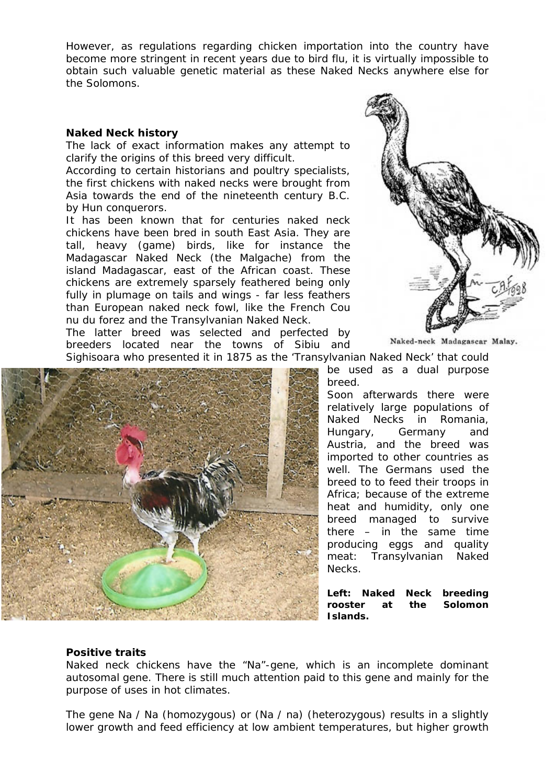However, as regulations regarding chicken importation into the country have become more stringent in recent years due to bird flu, it is virtually impossible to obtain such valuable genetic material as these Naked Necks anywhere else for the Solomons.

## **Naked Neck history**

The lack of exact information makes any attempt to clarify the origins of this breed very difficult.

According to certain historians and poultry specialists, the first chickens with naked necks were brought from Asia towards the end of the nineteenth century B.C. by Hun conquerors.

It has been known that for centuries naked neck chickens have been bred in south East Asia. They are tall, heavy (game) birds, like for instance the Madagascar Naked Neck (the Malgache) from the island Madagascar, east of the African coast. These chickens are extremely sparsely feathered being only fully in plumage on tails and wings - far less feathers than European naked neck fowl, like the French Cou nu du forez and the Transylvanian Naked Neck.

The latter breed was selected and perfected by breeders located near the towns of Sibiu and Sighisoara who presented it in 1875 as the 'Transylvanian Naked Neck' that could





Naked-neck Madagascar Malay.

be used as a dual purpose breed.

Soon afterwards there were relatively large populations of Naked Necks in Romania, Hungary, Germany and Austria, and the breed was imported to other countries as well. The Germans used the breed to to feed their troops in Africa; because of the extreme heat and humidity, only one breed managed to survive there – in the same time producing eggs and quality meat: Transylvanian Naked Necks.

**Left: Naked Neck breeding rooster at the Solomon Islands.**

## **Positive traits**

Naked neck chickens have the "Na"-gene, which is an incomplete dominant autosomal gene. There is still much attention paid to this gene and mainly for the purpose of uses in hot climates.

The gene Na / Na (homozygous) or (Na / na) (heterozygous) results in a slightly lower growth and feed efficiency at low ambient temperatures, but higher growth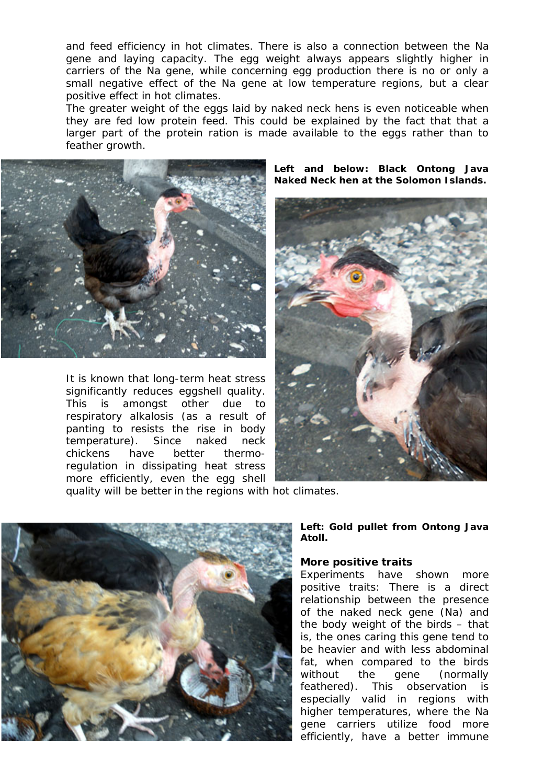and feed efficiency in hot climates. There is also a connection between the Na gene and laying capacity. The egg weight always appears slightly higher in carriers of the Na gene, while concerning egg production there is no or only a small negative effect of the Na gene at low temperature regions, but a clear positive effect in hot climates.

The greater weight of the eggs laid by naked neck hens is even noticeable when they are fed low protein feed. This could be explained by the fact that that a larger part of the protein ration is made available to the eggs rather than to feather growth.



It is known that long-term heat stress significantly reduces eggshell quality. This is amongst other due to respiratory alkalosis (as a result of panting to resists the rise in body temperature). Since naked neck chickens have better thermoregulation in dissipating heat stress more efficiently, even the egg shell

**Left and below: Black Ontong Java Naked Neck hen at the Solomon Islands.** 



quality will be better in the regions with hot climates.



**Left: Gold pullet from Ontong Java Atoll.**

#### **More positive traits**

Experiments have shown more positive traits: There is a direct relationship between the presence of the naked neck gene (Na) and the body weight of the birds – that is, the ones caring this gene tend to be heavier and with less abdominal fat, when compared to the birds without the gene (normally feathered). This observation is especially valid in regions with higher temperatures, where the Na gene carriers utilize food more efficiently, have a better immune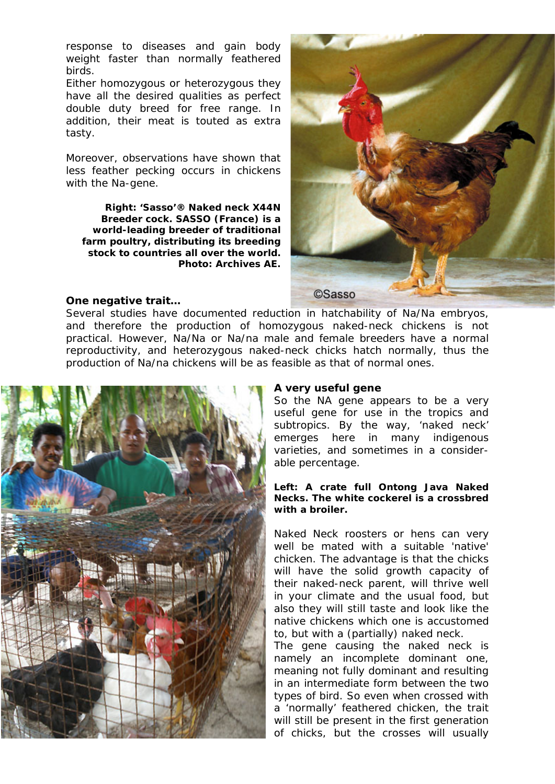response to diseases and gain body weight faster than normally feathered birds.

Either homozygous or heterozygous they have all the desired qualities as perfect double duty breed for free range. In addition, their meat is touted as extra tasty.

Moreover, observations have shown that less feather pecking occurs in chickens with the Na-gene.

**Right: 'Sasso'® Naked neck X44N Breeder cock. SASSO (France) is a world-leading breeder of traditional farm poultry, distributing its breeding stock to countries all over the world. Photo: Archives AE.** 



## **One negative trait…**

Several studies have documented reduction in hatchability of Na/Na embryos, and therefore the production of homozygous naked-neck chickens is not practical. However, Na/Na or Na/na male and female breeders have a normal reproductivity, and heterozygous naked-neck chicks hatch normally, thus the production of Na/na chickens will be as feasible as that of normal ones.



#### **A very useful gene**

So the NA gene appears to be a very useful gene for use in the tropics and subtropics. By the way, 'naked neck' emerges here in many indigenous varieties, and sometimes in a considerable percentage.

## **Left: A crate full Ontong Java Naked Necks. The white cockerel is a crossbred with a broiler.**

Naked Neck roosters or hens can very well be mated with a suitable 'native' chicken. The advantage is that the chicks will have the solid growth capacity of their naked-neck parent, will thrive well in your climate and the usual food, but also they will still taste and look like the native chickens which one is accustomed to, but with a (partially) naked neck.

The gene causing the naked neck is namely an incomplete dominant one, meaning not fully dominant and resulting in an intermediate form between the two types of bird. So even when crossed with a 'normally' feathered chicken, the trait will still be present in the first generation of chicks, but the crosses will usually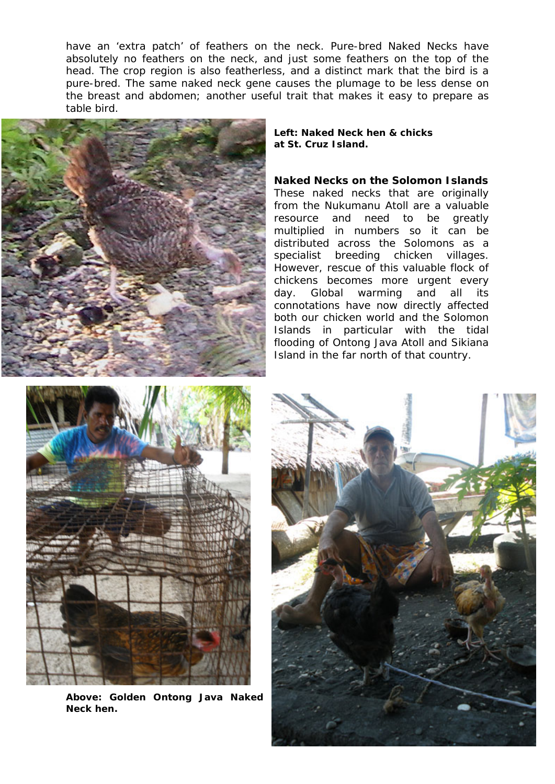have an 'extra patch' of feathers on the neck. Pure-bred Naked Necks have absolutely no feathers on the neck, and just some feathers on the top of the head. The crop region is also featherless, and a distinct mark that the bird is a pure-bred. The same naked neck gene causes the plumage to be less dense on the breast and abdomen; another useful trait that makes it easy to prepare as table bird.



#### **Left: Naked Neck hen & chicks at St. Cruz Island.**

**Naked Necks on the Solomon Islands** These naked necks that are originally from the Nukumanu Atoll are a valuable resource and need to be greatly multiplied in numbers so it can be distributed across the Solomons as a specialist breeding chicken villages. However, rescue of this valuable flock of chickens becomes more urgent every day. Global warming and all its connotations have now directly affected both our chicken world and the Solomon Islands in particular with the tidal flooding of Ontong Java Atoll and Sikiana Island in the far north of that country.



**Above: Golden Ontong Java Naked Neck hen.**